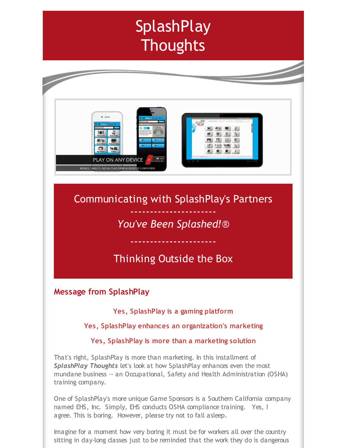# **SplashPlay Thoughts**



# Communicating with SplashPlay's Partners ----------------------

# *You've Been Splashed!*®

# Thinking Outside the Box

----------------------

# **Message from SplashPlay**

### **Yes, SplashPlay is a gaming platform**

#### **Yes, SplashPlay enhances an organization's marketing**

#### **Yes, SplashPlay is more than a marketing solution**

That's right, SplashPlay is more than marketing. In this installment of *SplashPlay Thoughts* let's look at how SplashPlay enhances even the most mundane business -- an Occupational, Safety and Health Administration (OSHA) training company.

One of SplashPlay's more unique Game Sponsors is a Southern California company named EHS, Inc. Simply, EHS conducts OSHA compliance training. Yes, I agree. This is boring. However, please try not to fall asleep.

Imagine for a moment how very boring it must be for workers all over the country sitting in day-long classes just to be reminded that the work they do is dangerous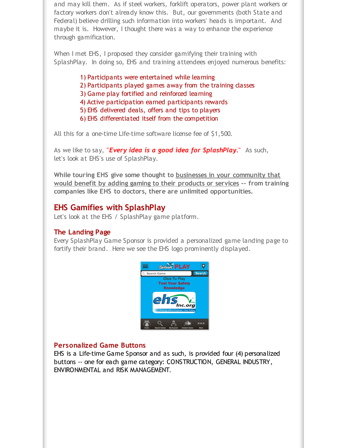and may kill them. As if steel workers, forklift operators, power plant workers or factory workers don't already know this. But, our governments (both State and Federal) believe drilling such information into workers' heads is important. And maybe it is. However, I thought there was a way to enhance the experience through gamification.

When I met EHS, I proposed they consider gamifying their training with SplashPlay. In doing so, EHS and training attendees enjoyed numerous benefits:

- 1) Participants were entertained while learning
- 2) Participants played games away from the training classes
- 3) Game play fortified and reinforced learning
- 4) Active participation earned participants rewards
- 5) EHS delivered deals, offers and tips to players
- 6) EHS differentiated itself from the competition

All this for a one-time Life-time software license fee of \$1,500.

As we like to say, "*Every idea is a good idea for SplashPlay*." As such, let's look at EHS's use of SplashPlay.

**While touring EHS give some thought to businesses in your community that would benefit by adding gaming to their products or services -- from training companies like EHS to doctors, there are unlimited opportunities.**

#### **EHS Gamifies with SplashPlay**

Let's look at the EHS / SplashPlay game platform.

#### **The Landing Page**

Every SplashPlay Game Sponsor is provided a personalized game landing page to fortify their brand. Here we see the EHS logo prominently displayed.



#### **Personalized Game Buttons**

EHS is a Life-time Game Sponsor and as such, is provided four (4) personalized buttons -- one for each game category: CONSTRUCTION, GENERAL INDUSTRY, ENVIRONMENTAL and RISK MANAGEMENT.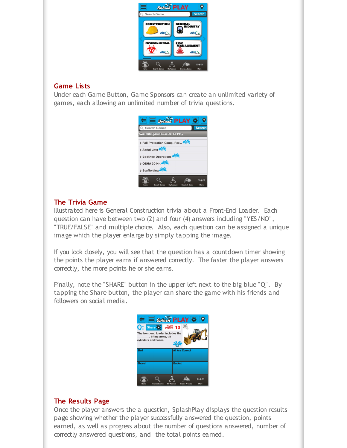| <b>Splash PLAY</b>                               |                                                   |
|--------------------------------------------------|---------------------------------------------------|
| Search Game                                      | <b>Search</b>                                     |
| <b>CONSTRUCTION</b><br>$e$ hs                    | <b>GENERAL</b><br><b>INDUSTRY</b><br>$e$ hs       |
| <b>ENVIRONMENTAL</b><br>$e$ hs                   | <b>RISK</b><br>MANAGEMENT<br>ehs                  |
| <b>Search Games</b><br>Home<br><b>My Account</b> | $\odot\odot\odot$<br>More<br><b>Create A Game</b> |

#### **Game Lists**

Under each Game Button, Game Sponsors can create an unlimited variety of games, each allowing an unlimited number of trivia questions.

| $\equiv$ Splash PLAY $\ddot{\bm{x}}$                                                                        |  |
|-------------------------------------------------------------------------------------------------------------|--|
| <b>Search</b><br>Search Games                                                                               |  |
| <b>Available games Click To Play</b>                                                                        |  |
| Fall Protection Comp. Per                                                                                   |  |
| > Aerial Lifts                                                                                              |  |
| > Backhoe Operations                                                                                        |  |
| $>$ OSHA 30 Hr. $\triangle$                                                                                 |  |
| > Scaffolding                                                                                               |  |
| $\bullet\bullet\bullet$<br>More<br><b>Search Games</b><br><b>Create A Game</b><br>Home<br><b>My Account</b> |  |

### **The Trivia Game**

Illustrated here is General Construction trivia about a Front-End Loader. Each question can have between two (2) and four (4) answers including "YES/NO", "TRUE/FALSE" and multiple choice. Also, each question can be assigned a unique image which the player enlarge by simply tapping the image.

If you look closely, you will see that the question has a countdown timer showing the points the player earns if answered correctly. The faster the player answers correctly, the more points he or she earns.

Finally, note the "SHARE" button in the upper left next to the big blue "Q". By tapping the Share button, the player can share the game with his friends and followers on social media.



#### **The Results Page**

Once the player answers the a question, SplashPlay displays the question results page showing whether the player successfully answered the question, points earned, as well as progress about the number of questions answered, number of correctly answered questions, and the total points earned.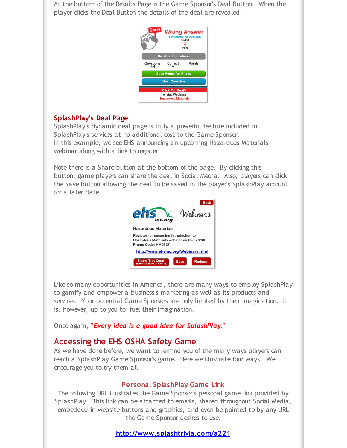At the bottom of the Results Page is the Game Sponsor's Deal Button. When the player clicks the Deal Button the details of the deal are revealed.



#### **SplashPlay's Deal Page**

SplashPlay's dynamic deal page is truly a powerful feature included in SplashPlay's services at no additional cost to the Game Sponsor. In this example, we see EHS announcing an upcoming Hazardous Materials webinar along with a link to register.

Note there is a Share button at the bottom of the page. By clicking this button, game players can share the deal in Social Media. Also, players can click the Save button allowing the deal to be saved in the player's SplashPlay account for a later date.



Like so many opportunities in America, there are many ways to employ SplashPlay to gamify and empower a business's marketing as well as its products and services. Your potential Game Sponsors are only limited by their imagination. It is, however, up to you to fuel their imagination.

Once again, "*Every idea is a good idea for SplashPlay*."

#### **Accessing the EHS OSHA Safety Game**

As we have done before, we want to remind you of the many ways players can reach a SplashPlay Game Sponsor's game. Here we illustrate four ways. We encourage you to try them all.

#### **Personal SplashPlay Game Link**

The following URL illustrates the Game Sponsor's personal game link provided by SplashPlay. This link can be attached to emails, shared throughout Social Media, embedded in website buttons and graphics, and even be pointed to by any URL the Game Sponsor desires to use.

**[http://www.splashtrivia.com/a221](http://r20.rs6.net/tn.jsp?f=001dvjrYOzjQmaovHNWxrPDeR2PvVKUPrezi8_FdHLzA1qw08h6RgYLgX6J5AIH0X3-pOrSUKD8Uuqace6cVg6YTqei30tnp61mOmUN8BizB_66tyD84-aXRJfjiLWsJEes8DR3tq6Zc1lO2RLAivn4Ge6IOCMOBTRGTpVAMJF2rBhvUyP1b0KkSg==&c=&ch=)**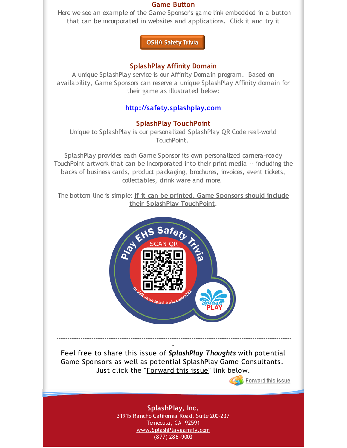#### **Game Button**

Here we see an example of the Game Sponsor's game link embedded in a button that can be incorporated in websites and applications. Click it and try it

**OSHA Safety Trivia** 

#### **SplashPlay Affinity Domain**

A unique SplashPlay service is our Affinity Domain program. Based on availability, Game Sponsors can reserve a unique SplashPlay Affinity domain for their game as illustrated below:

## **[http://safety.splashplay.com](http://r20.rs6.net/tn.jsp?f=001dvjrYOzjQmaovHNWxrPDeR2PvVKUPrezi8_FdHLzA1qw08h6RgYLgbtgGXTYl-NzvZn4aOaak8JsvxivWFfKDSRDukBZqyOM69R00UuOSYXjMXKT-A4rkqOoRipylQZtZmPoEjzUyy8KwZHF45N8k-I1fpwr5tRSnE_8-wyv56M=&c=&ch=)**

### **SplashPlay TouchPoint**

Unique to SplashPlay is our personalized SplashPlay QR Code real-world TouchPoint.

SplashPlay provides each Game Sponsor its own personalized camera-ready TouchPoint artwork that can be incorporated into their print media -- including the backs of business cards, product packaging, brochures, invoices, event tickets, collectables, drink ware and more.

The bottom line is simple: **If it can be printed, Game Sponsors should include their SplashPlay TouchPoint**.



**-** Feel free to share this issue of *SplashPlay Thoughts* with potential Game Sponsors as well as potential SplashPlay Game Consultants. Just click the "Forward this issue" link below.

**------------------------------------------------------------------------------------------------------------**



**SplashPlay, Inc.** 31915 Rancho California Road, Suite 200-237 Temecula, CA 92591 [www.SplashPlaygamify.com](http://r20.rs6.net/tn.jsp?f=001dvjrYOzjQmaovHNWxrPDeR2PvVKUPrezi8_FdHLzA1qw08h6RgYLgSjN0ZTdy1AuajSXjozAIA093usZFuo1AQFEj68vfsZi86QUVfpT6mTyH1hz6tbBGYhW6RyEBpGNJ_jacLK8Rp5E8XLHiqoCug2PeaBsXo5k2Jc1LfaKkhA=&c=&ch=) (877) 286-9003